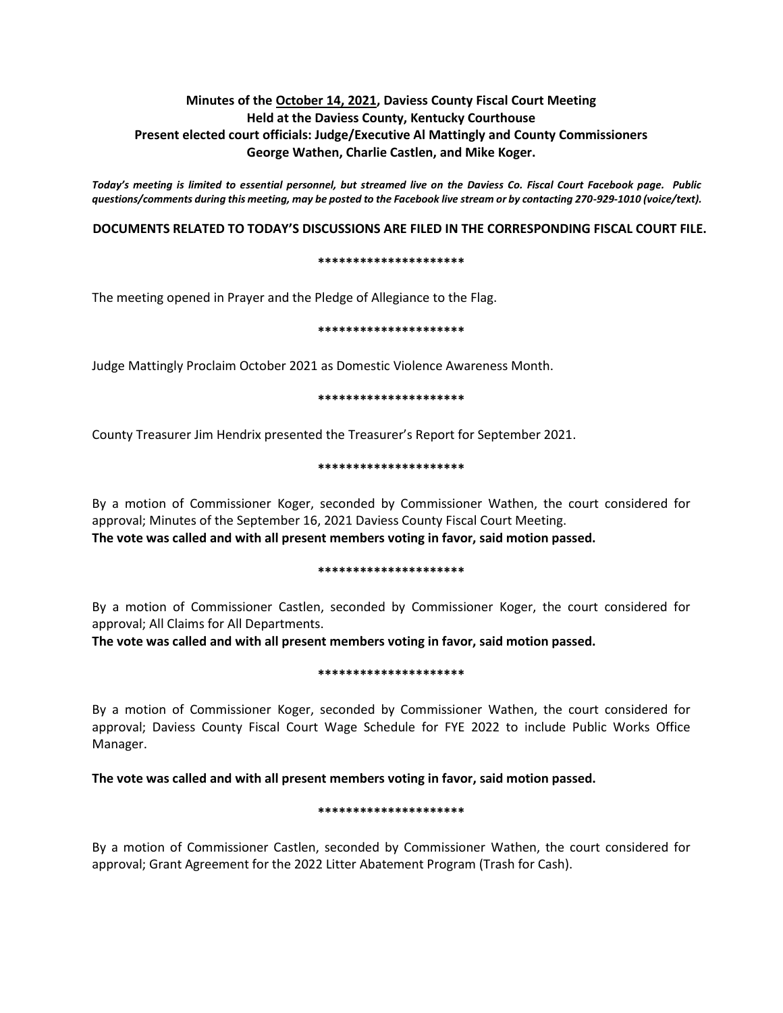# **Minutes of the October 14, 2021, Daviess County Fiscal Court Meeting Held at the Daviess County, Kentucky Courthouse Present elected court officials: Judge/Executive Al Mattingly and County Commissioners George Wathen, Charlie Castlen, and Mike Koger.**

*Today's meeting is limited to essential personnel, but streamed live on the Daviess Co. Fiscal Court Facebook page. Public questions/comments during this meeting, may be posted to the Facebook live stream or by contacting 270-929-1010 (voice/text).*

## **DOCUMENTS RELATED TO TODAY'S DISCUSSIONS ARE FILED IN THE CORRESPONDING FISCAL COURT FILE.**

#### **\*\*\*\*\*\*\*\*\*\*\*\*\*\*\*\*\*\*\*\*\***

The meeting opened in Prayer and the Pledge of Allegiance to the Flag.

#### **\*\*\*\*\*\*\*\*\*\*\*\*\*\*\*\*\*\*\*\*\***

Judge Mattingly Proclaim October 2021 as Domestic Violence Awareness Month.

#### **\*\*\*\*\*\*\*\*\*\*\*\*\*\*\*\*\*\*\*\*\***

County Treasurer Jim Hendrix presented the Treasurer's Report for September 2021.

#### **\*\*\*\*\*\*\*\*\*\*\*\*\*\*\*\*\*\*\*\*\***

By a motion of Commissioner Koger, seconded by Commissioner Wathen, the court considered for approval; Minutes of the September 16, 2021 Daviess County Fiscal Court Meeting. **The vote was called and with all present members voting in favor, said motion passed.** 

#### **\*\*\*\*\*\*\*\*\*\*\*\*\*\*\*\*\*\*\*\*\***

By a motion of Commissioner Castlen, seconded by Commissioner Koger, the court considered for approval; All Claims for All Departments.

**The vote was called and with all present members voting in favor, said motion passed.** 

#### **\*\*\*\*\*\*\*\*\*\*\*\*\*\*\*\*\*\*\*\*\***

By a motion of Commissioner Koger, seconded by Commissioner Wathen, the court considered for approval; Daviess County Fiscal Court Wage Schedule for FYE 2022 to include Public Works Office Manager.

### **The vote was called and with all present members voting in favor, said motion passed.**

#### **\*\*\*\*\*\*\*\*\*\*\*\*\*\*\*\*\*\*\*\*\***

By a motion of Commissioner Castlen, seconded by Commissioner Wathen, the court considered for approval; Grant Agreement for the 2022 Litter Abatement Program (Trash for Cash).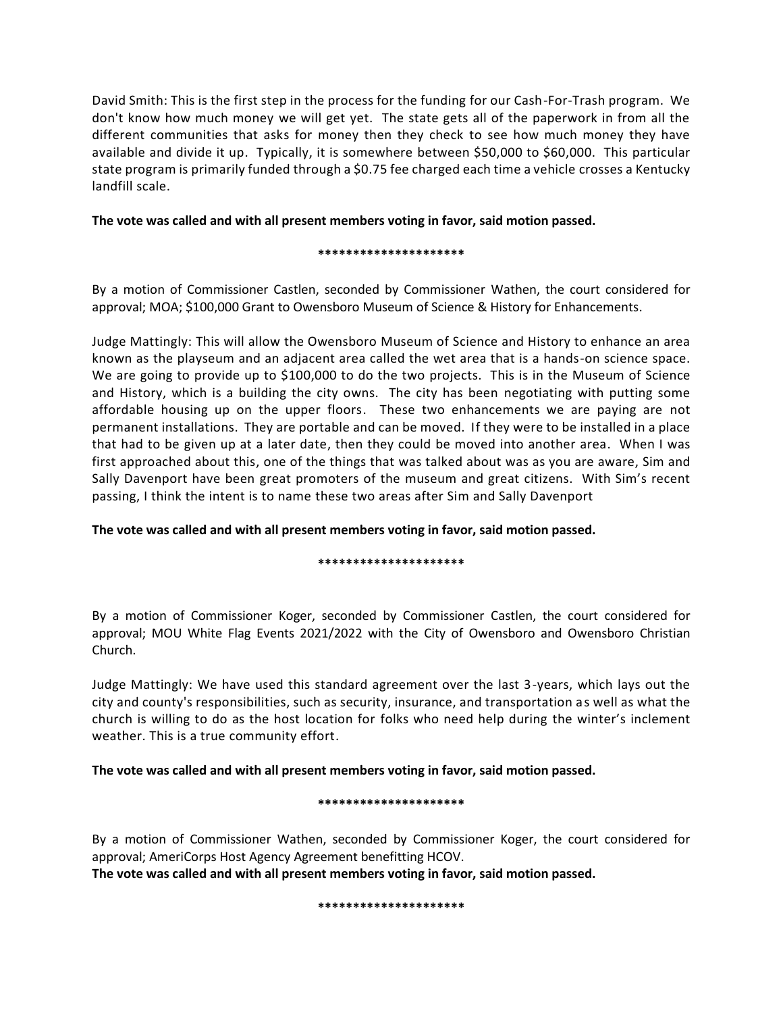David Smith: This is the first step in the process for the funding for our Cash-For-Trash program. We don't know how much money we will get yet. The state gets all of the paperwork in from all the different communities that asks for money then they check to see how much money they have available and divide it up. Typically, it is somewhere between \$50,000 to \$60,000. This particular state program is primarily funded through a \$0.75 fee charged each time a vehicle crosses a Kentucky landfill scale.

# **The vote was called and with all present members voting in favor, said motion passed.**

### **\*\*\*\*\*\*\*\*\*\*\*\*\*\*\*\*\*\*\*\*\***

By a motion of Commissioner Castlen, seconded by Commissioner Wathen, the court considered for approval; MOA; \$100,000 Grant to Owensboro Museum of Science & History for Enhancements.

Judge Mattingly: This will allow the Owensboro Museum of Science and History to enhance an area known as the playseum and an adjacent area called the wet area that is a hands-on science space. We are going to provide up to \$100,000 to do the two projects. This is in the Museum of Science and History, which is a building the city owns. The city has been negotiating with putting some affordable housing up on the upper floors. These two enhancements we are paying are not permanent installations. They are portable and can be moved. If they were to be installed in a place that had to be given up at a later date, then they could be moved into another area. When I was first approached about this, one of the things that was talked about was as you are aware, Sim and Sally Davenport have been great promoters of the museum and great citizens. With Sim's recent passing, I think the intent is to name these two areas after Sim and Sally Davenport

**The vote was called and with all present members voting in favor, said motion passed.** 

### **\*\*\*\*\*\*\*\*\*\*\*\*\*\*\*\*\*\*\*\*\***

By a motion of Commissioner Koger, seconded by Commissioner Castlen, the court considered for approval; MOU White Flag Events 2021/2022 with the City of Owensboro and Owensboro Christian Church.

Judge Mattingly: We have used this standard agreement over the last 3-years, which lays out the city and county's responsibilities, such as security, insurance, and transportation as well as what the church is willing to do as the host location for folks who need help during the winter's inclement weather. This is a true community effort.

**The vote was called and with all present members voting in favor, said motion passed.** 

#### **\*\*\*\*\*\*\*\*\*\*\*\*\*\*\*\*\*\*\*\*\***

By a motion of Commissioner Wathen, seconded by Commissioner Koger, the court considered for approval; AmeriCorps Host Agency Agreement benefitting HCOV.

**The vote was called and with all present members voting in favor, said motion passed.** 

**\*\*\*\*\*\*\*\*\*\*\*\*\*\*\*\*\*\*\*\*\***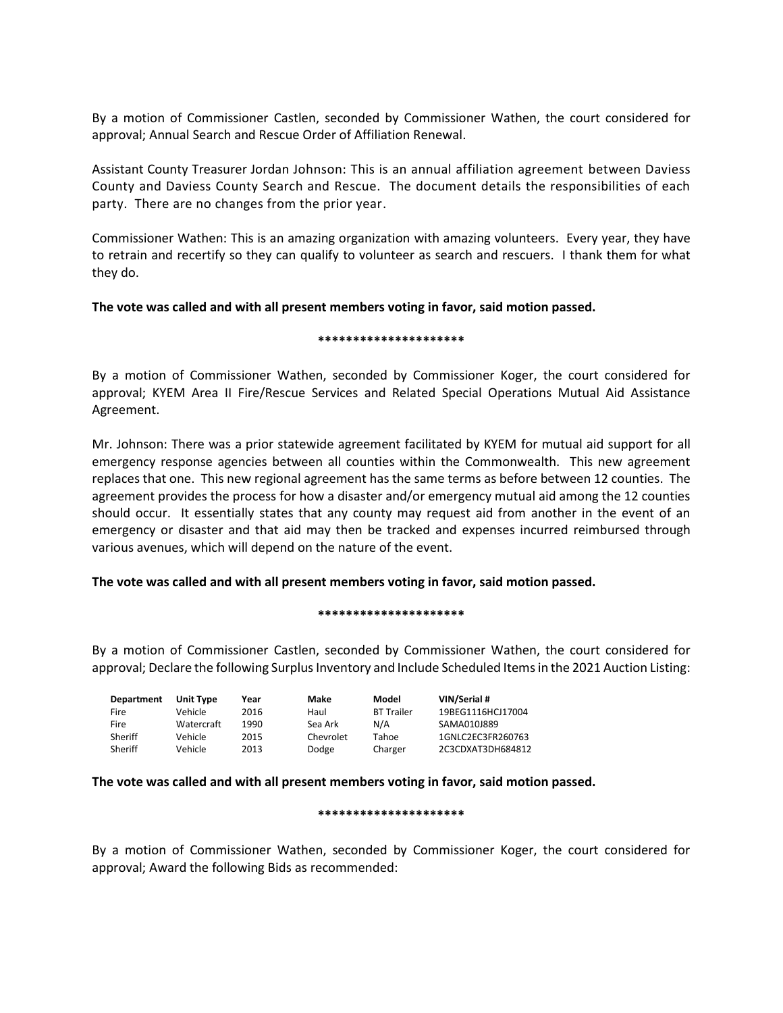By a motion of Commissioner Castlen, seconded by Commissioner Wathen, the court considered for approval; Annual Search and Rescue Order of Affiliation Renewal.

Assistant County Treasurer Jordan Johnson: This is an annual affiliation agreement between Daviess County and Daviess County Search and Rescue. The document details the responsibilities of each party. There are no changes from the prior year.

Commissioner Wathen: This is an amazing organization with amazing volunteers. Every year, they have to retrain and recertify so they can qualify to volunteer as search and rescuers. I thank them for what they do.

## **The vote was called and with all present members voting in favor, said motion passed.**

### **\*\*\*\*\*\*\*\*\*\*\*\*\*\*\*\*\*\*\*\*\***

By a motion of Commissioner Wathen, seconded by Commissioner Koger, the court considered for approval; KYEM Area II Fire/Rescue Services and Related Special Operations Mutual Aid Assistance Agreement.

Mr. Johnson: There was a prior statewide agreement facilitated by KYEM for mutual aid support for all emergency response agencies between all counties within the Commonwealth. This new agreement replaces that one. This new regional agreement has the same terms as before between 12 counties. The agreement provides the process for how a disaster and/or emergency mutual aid among the 12 counties should occur. It essentially states that any county may request aid from another in the event of an emergency or disaster and that aid may then be tracked and expenses incurred reimbursed through various avenues, which will depend on the nature of the event.

### **The vote was called and with all present members voting in favor, said motion passed.**

#### **\*\*\*\*\*\*\*\*\*\*\*\*\*\*\*\*\*\*\*\*\***

By a motion of Commissioner Castlen, seconded by Commissioner Wathen, the court considered for approval; Declare the following Surplus Inventory and Include Scheduled Items in the 2021 Auction Listing:

| Department  | <b>Unit Type</b> | Year | Make      | Model             | VIN/Serial #      |
|-------------|------------------|------|-----------|-------------------|-------------------|
| <b>Fire</b> | Vehicle          | 2016 | Haul      | <b>BT Trailer</b> | 19BEG1116HCJ17004 |
| <b>Fire</b> | Watercraft       | 1990 | Sea Ark   | N/A               | SAMA010J889       |
| Sheriff     | Vehicle          | 2015 | Chevrolet | Tahoe             | 1GNLC2EC3FR260763 |
| Sheriff     | Vehicle          | 2013 | Dodge     | Charger           | 2C3CDXAT3DH684812 |

### **The vote was called and with all present members voting in favor, said motion passed.**

#### **\*\*\*\*\*\*\*\*\*\*\*\*\*\*\*\*\*\*\*\*\***

By a motion of Commissioner Wathen, seconded by Commissioner Koger, the court considered for approval; Award the following Bids as recommended: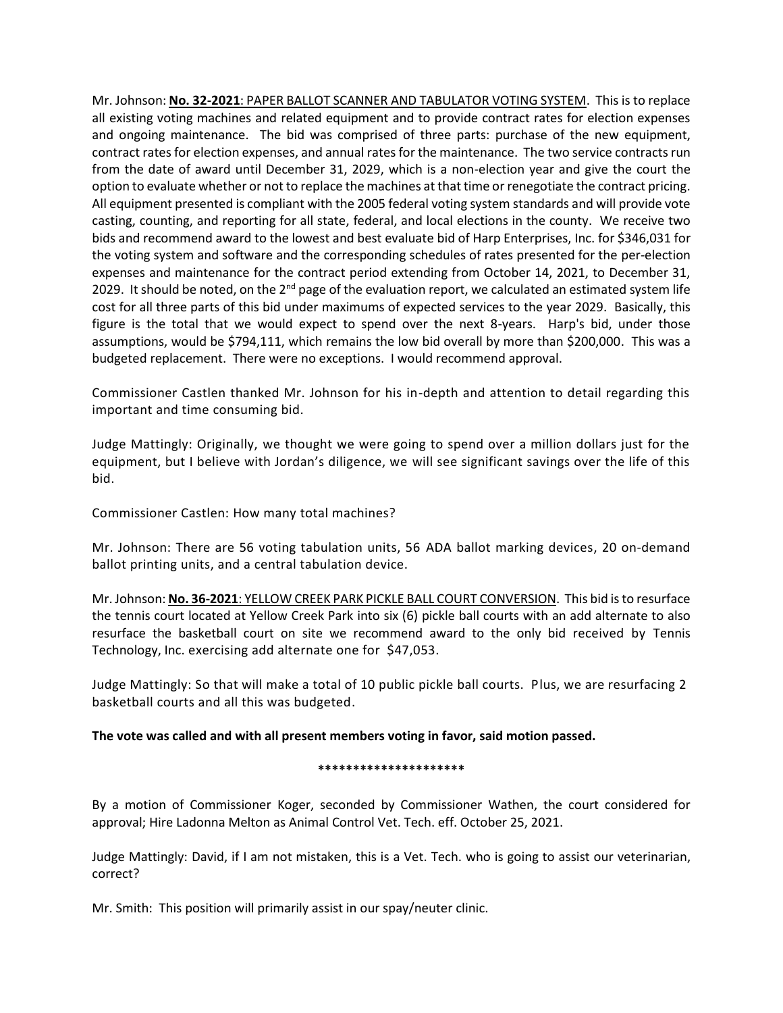Mr. Johnson: **No. 32-2021**: PAPER BALLOT SCANNER AND TABULATOR VOTING SYSTEM. This is to replace all existing voting machines and related equipment and to provide contract rates for election expenses and ongoing maintenance. The bid was comprised of three parts: purchase of the new equipment, contract rates for election expenses, and annual rates for the maintenance. The two service contracts run from the date of award until December 31, 2029, which is a non-election year and give the court the option to evaluate whether or not to replace the machines at that time or renegotiate the contract pricing. All equipment presented is compliant with the 2005 federal voting system standards and will provide vote casting, counting, and reporting for all state, federal, and local elections in the county. We receive two bids and recommend award to the lowest and best evaluate bid of Harp Enterprises, Inc. for \$346,031 for the voting system and software and the corresponding schedules of rates presented for the per-election expenses and maintenance for the contract period extending from October 14, 2021, to December 31, 2029. It should be noted, on the  $2^{nd}$  page of the evaluation report, we calculated an estimated system life cost for all three parts of this bid under maximums of expected services to the year 2029. Basically, this figure is the total that we would expect to spend over the next 8-years. Harp's bid, under those assumptions, would be \$794,111, which remains the low bid overall by more than \$200,000. This was a budgeted replacement. There were no exceptions. I would recommend approval.

Commissioner Castlen thanked Mr. Johnson for his in-depth and attention to detail regarding this important and time consuming bid.

Judge Mattingly: Originally, we thought we were going to spend over a million dollars just for the equipment, but I believe with Jordan's diligence, we will see significant savings over the life of this bid.

Commissioner Castlen: How many total machines?

Mr. Johnson: There are 56 voting tabulation units, 56 ADA ballot marking devices, 20 on-demand ballot printing units, and a central tabulation device.

Mr. Johnson: **No. 36-2021**: YELLOW CREEK PARK PICKLE BALL COURT CONVERSION. This bid is to resurface the tennis court located at Yellow Creek Park into six (6) pickle ball courts with an add alternate to also resurface the basketball court on site we recommend award to the only bid received by Tennis Technology, Inc. exercising add alternate one for \$47,053.

Judge Mattingly: So that will make a total of 10 public pickle ball courts. Plus, we are resurfacing 2 basketball courts and all this was budgeted.

# **The vote was called and with all present members voting in favor, said motion passed.**

#### **\*\*\*\*\*\*\*\*\*\*\*\*\*\*\*\*\*\*\*\*\***

By a motion of Commissioner Koger, seconded by Commissioner Wathen, the court considered for approval; Hire Ladonna Melton as Animal Control Vet. Tech. eff. October 25, 2021.

Judge Mattingly: David, if I am not mistaken, this is a Vet. Tech. who is going to assist our veterinarian, correct?

Mr. Smith: This position will primarily assist in our spay/neuter clinic.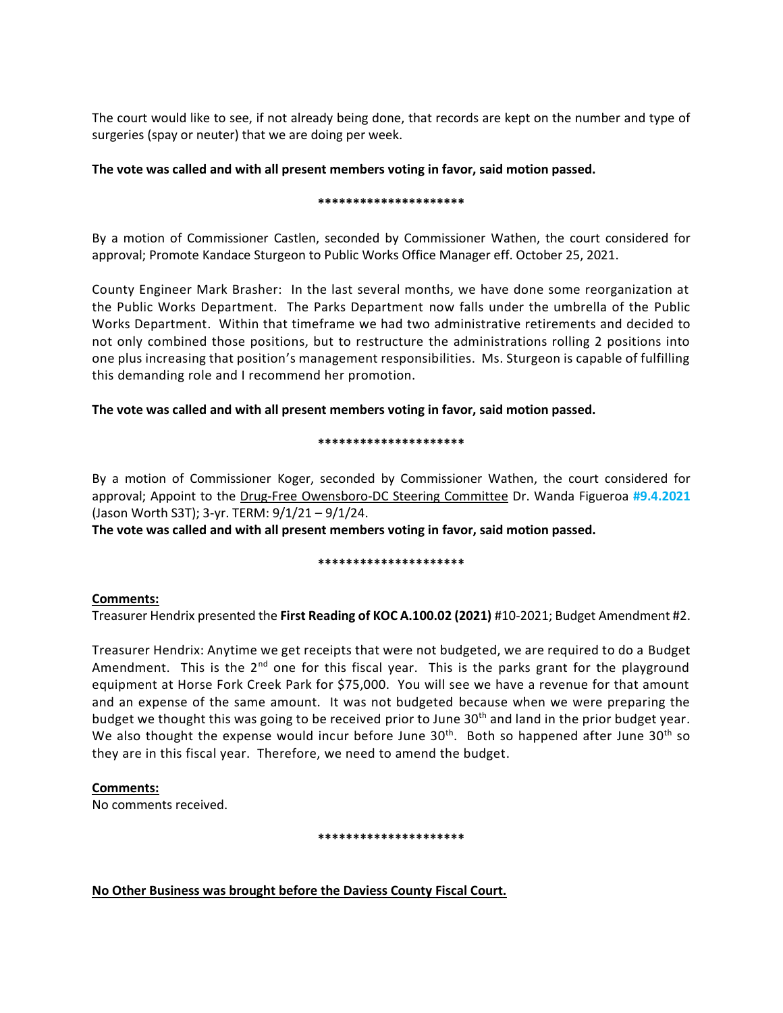The court would like to see, if not already being done, that records are kept on the number and type of surgeries (spay or neuter) that we are doing per week.

# **The vote was called and with all present members voting in favor, said motion passed.**

#### **\*\*\*\*\*\*\*\*\*\*\*\*\*\*\*\*\*\*\*\*\***

By a motion of Commissioner Castlen, seconded by Commissioner Wathen, the court considered for approval; Promote Kandace Sturgeon to Public Works Office Manager eff. October 25, 2021.

County Engineer Mark Brasher: In the last several months, we have done some reorganization at the Public Works Department. The Parks Department now falls under the umbrella of the Public Works Department. Within that timeframe we had two administrative retirements and decided to not only combined those positions, but to restructure the administrations rolling 2 positions into one plus increasing that position's management responsibilities. Ms. Sturgeon is capable of fulfilling this demanding role and I recommend her promotion.

## **The vote was called and with all present members voting in favor, said motion passed.**

### **\*\*\*\*\*\*\*\*\*\*\*\*\*\*\*\*\*\*\*\*\***

By a motion of Commissioner Koger, seconded by Commissioner Wathen, the court considered for approval; Appoint to the Drug-Free Owensboro-DC Steering Committee Dr. Wanda Figueroa **#9.4.2021** (Jason Worth S3T); 3-yr. TERM: 9/1/21 – 9/1/24.

**The vote was called and with all present members voting in favor, said motion passed.**

### **\*\*\*\*\*\*\*\*\*\*\*\*\*\*\*\*\*\*\*\*\***

### **Comments:**

Treasurer Hendrix presented the **First Reading of KOC A.100.02 (2021)** #10-2021; Budget Amendment #2.

Treasurer Hendrix: Anytime we get receipts that were not budgeted, we are required to do a Budget Amendment. This is the  $2^{nd}$  one for this fiscal year. This is the parks grant for the playground equipment at Horse Fork Creek Park for \$75,000. You will see we have a revenue for that amount and an expense of the same amount. It was not budgeted because when we were preparing the budget we thought this was going to be received prior to June 30<sup>th</sup> and land in the prior budget year. We also thought the expense would incur before June  $30<sup>th</sup>$ . Both so happened after June  $30<sup>th</sup>$  so they are in this fiscal year. Therefore, we need to amend the budget.

# **Comments:**

No comments received.

### **\*\*\*\*\*\*\*\*\*\*\*\*\*\*\*\*\*\*\*\*\***

# **No Other Business was brought before the Daviess County Fiscal Court.**